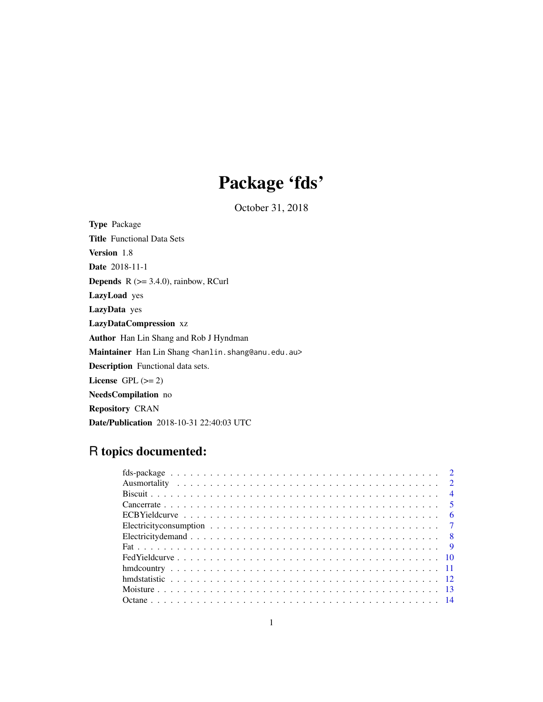# Package 'fds'

October 31, 2018

<span id="page-0-0"></span>Type Package Title Functional Data Sets Version 1.8 Date 2018-11-1 **Depends**  $R$  ( $>= 3.4.0$ ), rainbow, RCurl LazyLoad yes LazyData yes LazyDataCompression xz Author Han Lin Shang and Rob J Hyndman Maintainer Han Lin Shang <hanlin.shang@anu.edu.au> Description Functional data sets. License GPL  $(>= 2)$ NeedsCompilation no Repository CRAN Date/Publication 2018-10-31 22:40:03 UTC

# R topics documented: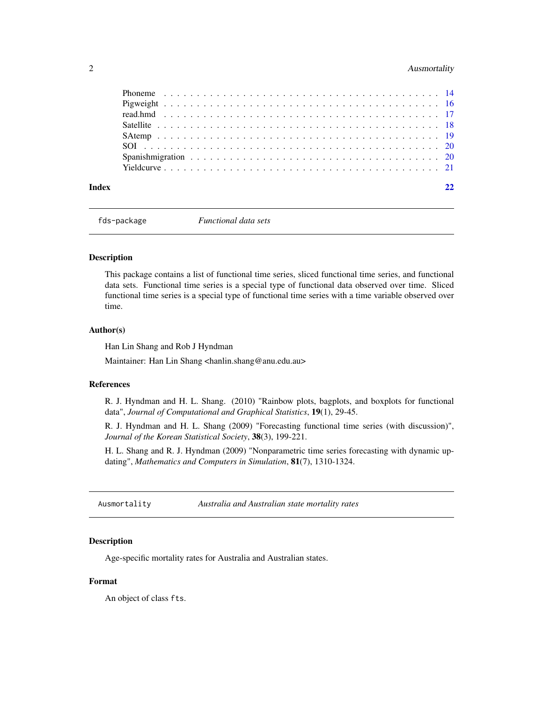# <span id="page-1-0"></span>2 **Ausmortality Ausmortality**

|       | Spanish migration $\ldots \ldots \ldots \ldots \ldots \ldots \ldots \ldots \ldots \ldots \ldots \ldots \ldots$ |
|-------|----------------------------------------------------------------------------------------------------------------|
|       |                                                                                                                |
| Index |                                                                                                                |

fds-package *Functional data sets*

# Description

This package contains a list of functional time series, sliced functional time series, and functional data sets. Functional time series is a special type of functional data observed over time. Sliced functional time series is a special type of functional time series with a time variable observed over time.

#### Author(s)

Han Lin Shang and Rob J Hyndman

Maintainer: Han Lin Shang <hanlin.shang@anu.edu.au>

# References

R. J. Hyndman and H. L. Shang. (2010) "Rainbow plots, bagplots, and boxplots for functional data", *Journal of Computational and Graphical Statistics*, 19(1), 29-45.

R. J. Hyndman and H. L. Shang (2009) "Forecasting functional time series (with discussion)", *Journal of the Korean Statistical Society*, 38(3), 199-221.

H. L. Shang and R. J. Hyndman (2009) "Nonparametric time series forecasting with dynamic updating", *Mathematics and Computers in Simulation*, 81(7), 1310-1324.

Ausmortality *Australia and Australian state mortality rates*

# Description

Age-specific mortality rates for Australia and Australian states.

# Format

An object of class fts.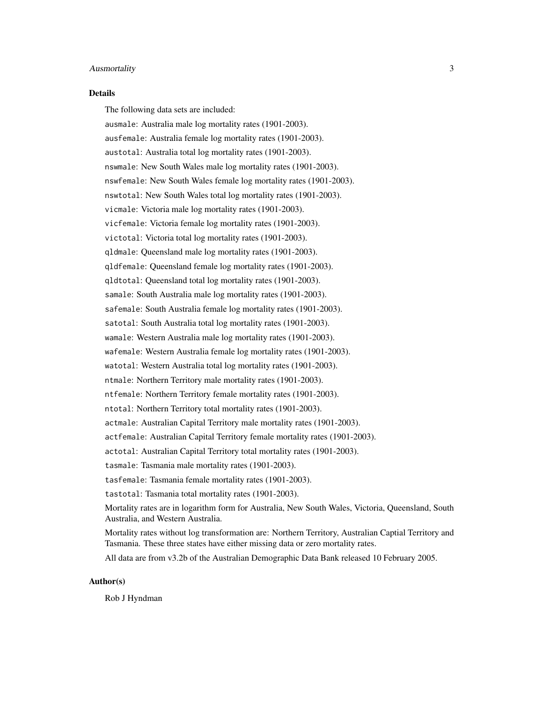### Ausmortality 3

#### Details

The following data sets are included:

ausmale: Australia male log mortality rates (1901-2003). ausfemale: Australia female log mortality rates (1901-2003). austotal: Australia total log mortality rates (1901-2003). nswmale: New South Wales male log mortality rates (1901-2003). nswfemale: New South Wales female log mortality rates (1901-2003). nswtotal: New South Wales total log mortality rates (1901-2003). vicmale: Victoria male log mortality rates (1901-2003). vicfemale: Victoria female log mortality rates (1901-2003). victotal: Victoria total log mortality rates (1901-2003). qldmale: Queensland male log mortality rates (1901-2003). qldfemale: Queensland female log mortality rates (1901-2003). qldtotal: Queensland total log mortality rates (1901-2003). samale: South Australia male log mortality rates (1901-2003). safemale: South Australia female log mortality rates (1901-2003). satotal: South Australia total log mortality rates (1901-2003). wamale: Western Australia male log mortality rates (1901-2003). wafemale: Western Australia female log mortality rates (1901-2003). watotal: Western Australia total log mortality rates (1901-2003). ntmale: Northern Territory male mortality rates (1901-2003). ntfemale: Northern Territory female mortality rates (1901-2003). ntotal: Northern Territory total mortality rates (1901-2003). actmale: Australian Capital Territory male mortality rates (1901-2003). actfemale: Australian Capital Territory female mortality rates (1901-2003). actotal: Australian Capital Territory total mortality rates (1901-2003). tasmale: Tasmania male mortality rates (1901-2003). tasfemale: Tasmania female mortality rates (1901-2003). tastotal: Tasmania total mortality rates (1901-2003). Mortality rates are in logarithm form for Australia, New South Wales, Victoria, Queensland, South Australia, and Western Australia. Mortality rates without log transformation are: Northern Territory, Australian Captial Territory and

Tasmania. These three states have either missing data or zero mortality rates.

All data are from v3.2b of the Australian Demographic Data Bank released 10 February 2005.

#### Author(s)

Rob J Hyndman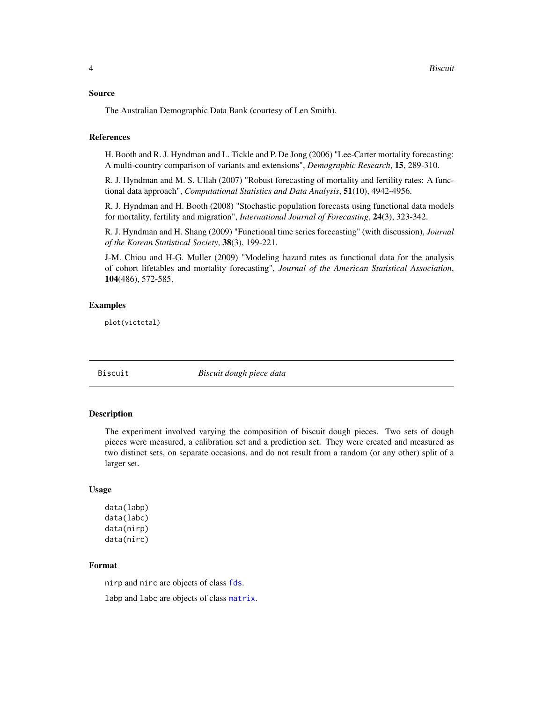#### <span id="page-3-0"></span>Source

The Australian Demographic Data Bank (courtesy of Len Smith).

#### References

H. Booth and R. J. Hyndman and L. Tickle and P. De Jong (2006) "Lee-Carter mortality forecasting: A multi-country comparison of variants and extensions", *Demographic Research*, 15, 289-310.

R. J. Hyndman and M. S. Ullah (2007) "Robust forecasting of mortality and fertility rates: A functional data approach", *Computational Statistics and Data Analysis*, 51(10), 4942-4956.

R. J. Hyndman and H. Booth (2008) "Stochastic population forecasts using functional data models for mortality, fertility and migration", *International Journal of Forecasting*, 24(3), 323-342.

R. J. Hyndman and H. Shang (2009) "Functional time series forecasting" (with discussion), *Journal of the Korean Statistical Society*, 38(3), 199-221.

J-M. Chiou and H-G. Muller (2009) "Modeling hazard rates as functional data for the analysis of cohort lifetables and mortality forecasting", *Journal of the American Statistical Association*, 104(486), 572-585.

### Examples

plot(victotal)

Biscuit *Biscuit dough piece data*

#### Description

The experiment involved varying the composition of biscuit dough pieces. Two sets of dough pieces were measured, a calibration set and a prediction set. They were created and measured as two distinct sets, on separate occasions, and do not result from a random (or any other) split of a larger set.

#### Usage

```
data(labp)
data(labc)
data(nirp)
data(nirc)
```
# Format

nirp and nirc are objects of class [fds](#page-0-0).

labp and labc are objects of class [matrix](#page-0-0).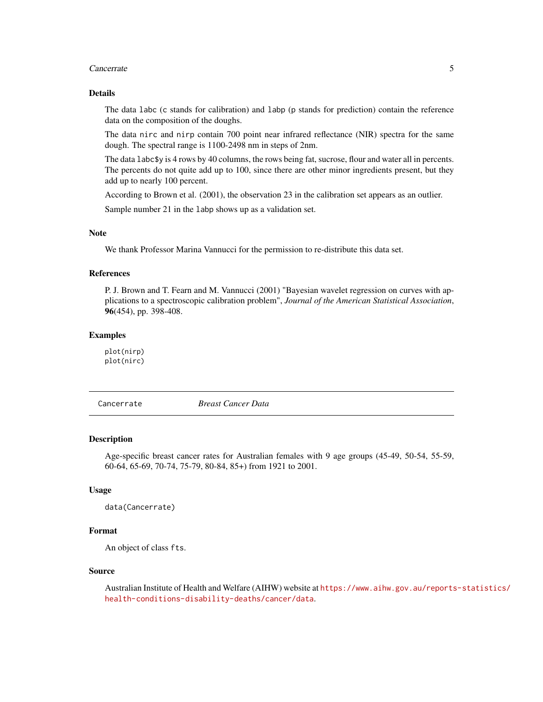#### <span id="page-4-0"></span>Cancerrate 5

# Details

The data labc (c stands for calibration) and labp (p stands for prediction) contain the reference data on the composition of the doughs.

The data nirc and nirp contain 700 point near infrared reflectance (NIR) spectra for the same dough. The spectral range is 1100-2498 nm in steps of 2nm.

The data labc\$y is 4 rows by 40 columns, the rows being fat, sucrose, flour and water all in percents. The percents do not quite add up to 100, since there are other minor ingredients present, but they add up to nearly 100 percent.

According to Brown et al. (2001), the observation 23 in the calibration set appears as an outlier.

Sample number 21 in the labp shows up as a validation set.

# Note

We thank Professor Marina Vannucci for the permission to re-distribute this data set.

#### References

P. J. Brown and T. Fearn and M. Vannucci (2001) "Bayesian wavelet regression on curves with applications to a spectroscopic calibration problem", *Journal of the American Statistical Association*, 96(454), pp. 398-408.

# Examples

plot(nirp) plot(nirc)

Cancerrate *Breast Cancer Data*

#### Description

Age-specific breast cancer rates for Australian females with 9 age groups (45-49, 50-54, 55-59, 60-64, 65-69, 70-74, 75-79, 80-84, 85+) from 1921 to 2001.

#### Usage

```
data(Cancerrate)
```
# Format

An object of class fts.

#### Source

Australian Institute of Health and Welfare (AIHW) website at [https://www.aihw.gov.au/reports](https://www.aihw.gov.au/reports-statistics/health-conditions-disability-deaths/cancer/data)-statistics/ [health-conditions-disability-deaths/cancer/data](https://www.aihw.gov.au/reports-statistics/health-conditions-disability-deaths/cancer/data).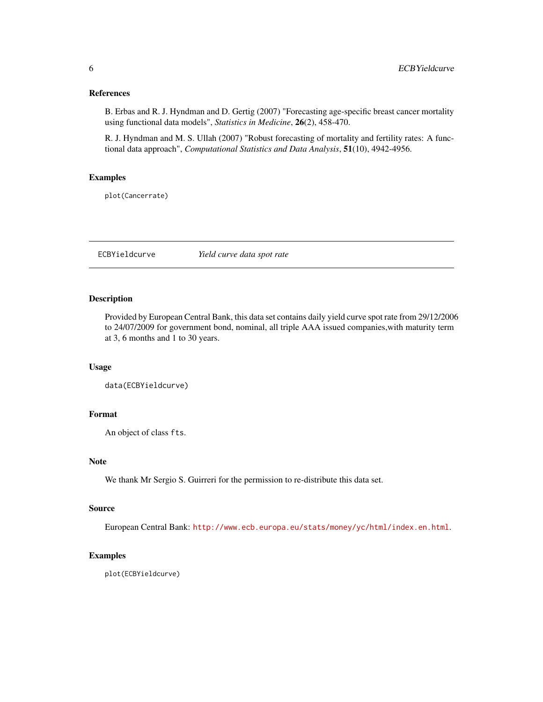#### <span id="page-5-0"></span>References

B. Erbas and R. J. Hyndman and D. Gertig (2007) "Forecasting age-specific breast cancer mortality using functional data models", *Statistics in Medicine*, 26(2), 458-470.

R. J. Hyndman and M. S. Ullah (2007) "Robust forecasting of mortality and fertility rates: A functional data approach", *Computational Statistics and Data Analysis*, 51(10), 4942-4956.

### Examples

plot(Cancerrate)

ECBYieldcurve *Yield curve data spot rate*

# Description

Provided by European Central Bank, this data set contains daily yield curve spot rate from 29/12/2006 to 24/07/2009 for government bond, nominal, all triple AAA issued companies,with maturity term at 3, 6 months and 1 to 30 years.

#### Usage

```
data(ECBYieldcurve)
```
# Format

An object of class fts.

#### **Note**

We thank Mr Sergio S. Guirreri for the permission to re-distribute this data set.

#### Source

European Central Bank: <http://www.ecb.europa.eu/stats/money/yc/html/index.en.html>.

# Examples

plot(ECBYieldcurve)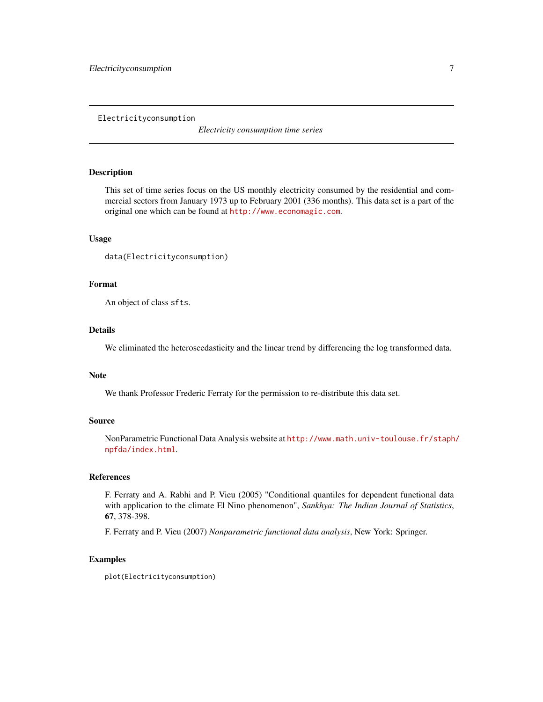<span id="page-6-0"></span>Electricityconsumption

*Electricity consumption time series*

# Description

This set of time series focus on the US monthly electricity consumed by the residential and commercial sectors from January 1973 up to February 2001 (336 months). This data set is a part of the original one which can be found at <http://www.economagic.com>.

# Usage

```
data(Electricityconsumption)
```
# Format

An object of class sfts.

#### Details

We eliminated the heteroscedasticity and the linear trend by differencing the log transformed data.

# Note

We thank Professor Frederic Ferraty for the permission to re-distribute this data set.

#### Source

NonParametric Functional Data Analysis website at [http://www.math.univ-toulouse.fr/staph](http://www.math.univ-toulouse.fr/staph/npfda/index.html)/ [npfda/index.html](http://www.math.univ-toulouse.fr/staph/npfda/index.html).

# References

F. Ferraty and A. Rabhi and P. Vieu (2005) "Conditional quantiles for dependent functional data with application to the climate El Nino phenomenon", *Sankhya: The Indian Journal of Statistics*, 67, 378-398.

F. Ferraty and P. Vieu (2007) *Nonparametric functional data analysis*, New York: Springer.

#### Examples

plot(Electricityconsumption)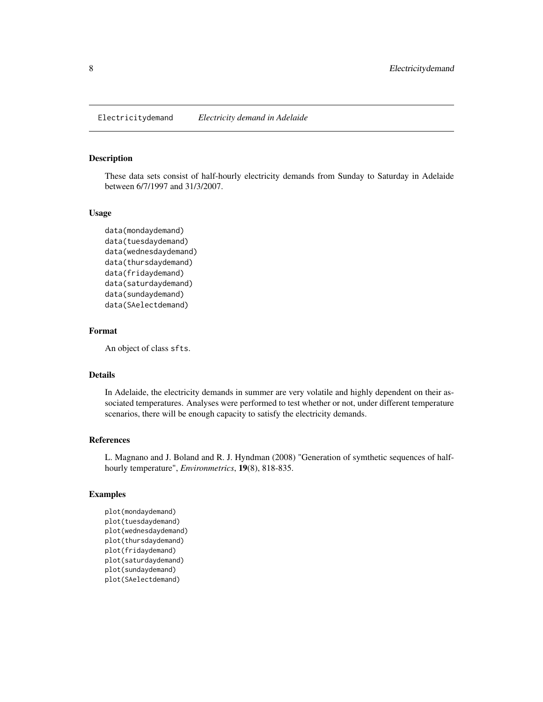<span id="page-7-0"></span>Electricitydemand *Electricity demand in Adelaide*

#### Description

These data sets consist of half-hourly electricity demands from Sunday to Saturday in Adelaide between 6/7/1997 and 31/3/2007.

#### Usage

```
data(mondaydemand)
data(tuesdaydemand)
data(wednesdaydemand)
data(thursdaydemand)
data(fridaydemand)
data(saturdaydemand)
data(sundaydemand)
data(SAelectdemand)
```
# Format

An object of class sfts.

# Details

In Adelaide, the electricity demands in summer are very volatile and highly dependent on their associated temperatures. Analyses were performed to test whether or not, under different temperature scenarios, there will be enough capacity to satisfy the electricity demands.

#### References

L. Magnano and J. Boland and R. J. Hyndman (2008) "Generation of symthetic sequences of halfhourly temperature", *Environmetrics*, 19(8), 818-835.

#### Examples

plot(mondaydemand) plot(tuesdaydemand) plot(wednesdaydemand) plot(thursdaydemand) plot(fridaydemand) plot(saturdaydemand) plot(sundaydemand) plot(SAelectdemand)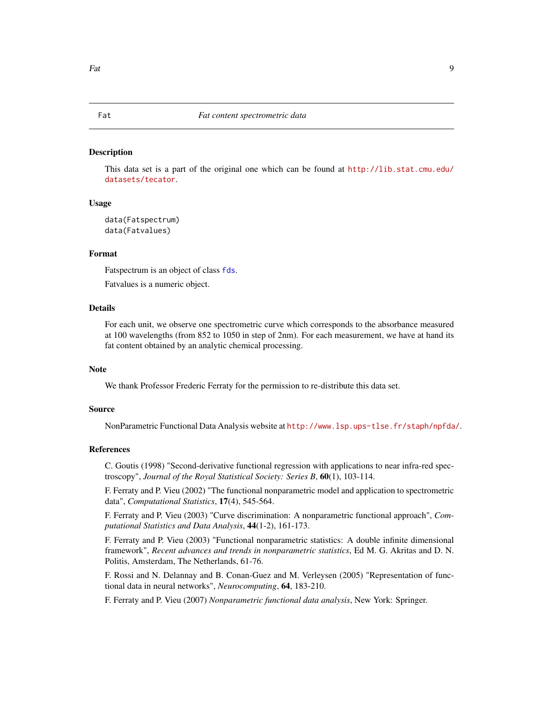<span id="page-8-0"></span>This data set is a part of the original one which can be found at [http://lib.stat.cmu.edu/](http://lib.stat.cmu.edu/datasets/tecator) [datasets/tecator](http://lib.stat.cmu.edu/datasets/tecator).

#### Usage

```
data(Fatspectrum)
data(Fatvalues)
```
# Format

Fatspectrum is an object of class [fds](#page-0-0).

Fatvalues is a numeric object.

# Details

For each unit, we observe one spectrometric curve which corresponds to the absorbance measured at 100 wavelengths (from 852 to 1050 in step of 2nm). For each measurement, we have at hand its fat content obtained by an analytic chemical processing.

#### Note

We thank Professor Frederic Ferraty for the permission to re-distribute this data set.

#### Source

NonParametric Functional Data Analysis website at <http://www.lsp.ups-tlse.fr/staph/npfda/>.

#### References

C. Goutis (1998) "Second-derivative functional regression with applications to near infra-red spectroscopy", *Journal of the Royal Statistical Society: Series B*, 60(1), 103-114.

F. Ferraty and P. Vieu (2002) "The functional nonparametric model and application to spectrometric data", *Computational Statistics*, 17(4), 545-564.

F. Ferraty and P. Vieu (2003) "Curve discrimination: A nonparametric functional approach", *Computational Statistics and Data Analysis*, 44(1-2), 161-173.

F. Ferraty and P. Vieu (2003) "Functional nonparametric statistics: A double infinite dimensional framework", *Recent advances and trends in nonparametric statistics*, Ed M. G. Akritas and D. N. Politis, Amsterdam, The Netherlands, 61-76.

F. Rossi and N. Delannay and B. Conan-Guez and M. Verleysen (2005) "Representation of functional data in neural networks", *Neurocomputing*, 64, 183-210.

F. Ferraty and P. Vieu (2007) *Nonparametric functional data analysis*, New York: Springer.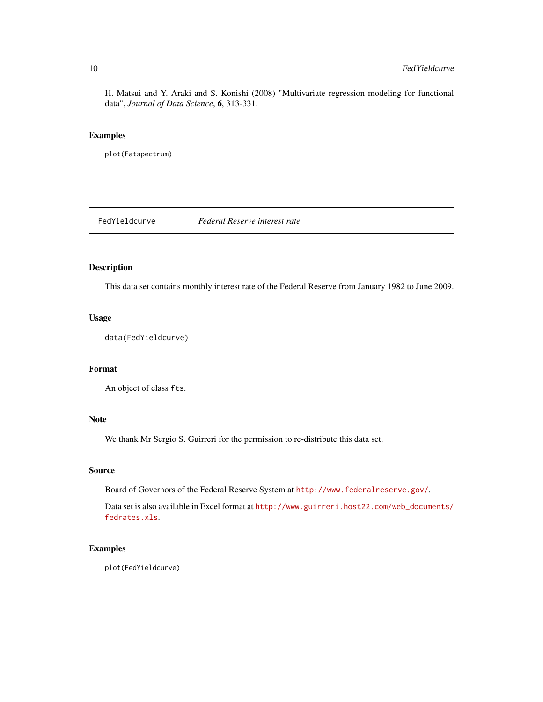<span id="page-9-0"></span>H. Matsui and Y. Araki and S. Konishi (2008) "Multivariate regression modeling for functional data", *Journal of Data Science*, 6, 313-331.

#### Examples

plot(Fatspectrum)

FedYieldcurve *Federal Reserve interest rate*

# Description

This data set contains monthly interest rate of the Federal Reserve from January 1982 to June 2009.

#### Usage

data(FedYieldcurve)

# Format

An object of class fts.

# Note

We thank Mr Sergio S. Guirreri for the permission to re-distribute this data set.

#### Source

Board of Governors of the Federal Reserve System at <http://www.federalreserve.gov/>.

Data set is also available in Excel format at [http://www.guirreri.host22.com/web\\_documents/](http://www.guirreri.host22.com/web_documents/fedrates.xls) [fedrates.xls](http://www.guirreri.host22.com/web_documents/fedrates.xls).

# Examples

plot(FedYieldcurve)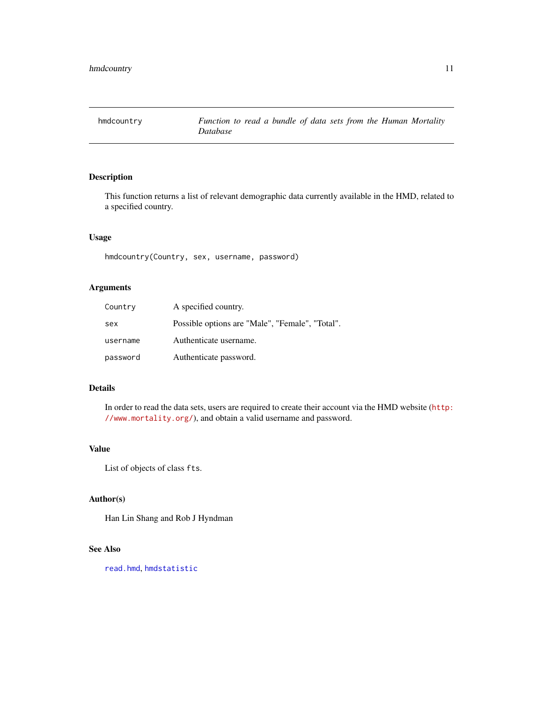<span id="page-10-1"></span><span id="page-10-0"></span>

This function returns a list of relevant demographic data currently available in the HMD, related to a specified country.

# Usage

hmdcountry(Country, sex, username, password)

# Arguments

| Country  | A specified country.                            |
|----------|-------------------------------------------------|
| sex      | Possible options are "Male", "Female", "Total". |
| username | Authenticate username.                          |
| password | Authenticate password.                          |

#### Details

In order to read the data sets, users are required to create their account via the HMD website ([http:](http://www.mortality.org/) [//www.mortality.org/](http://www.mortality.org/)), and obtain a valid username and password.

# Value

List of objects of class fts.

# Author(s)

Han Lin Shang and Rob J Hyndman

# See Also

[read.hmd](#page-16-1), [hmdstatistic](#page-11-1)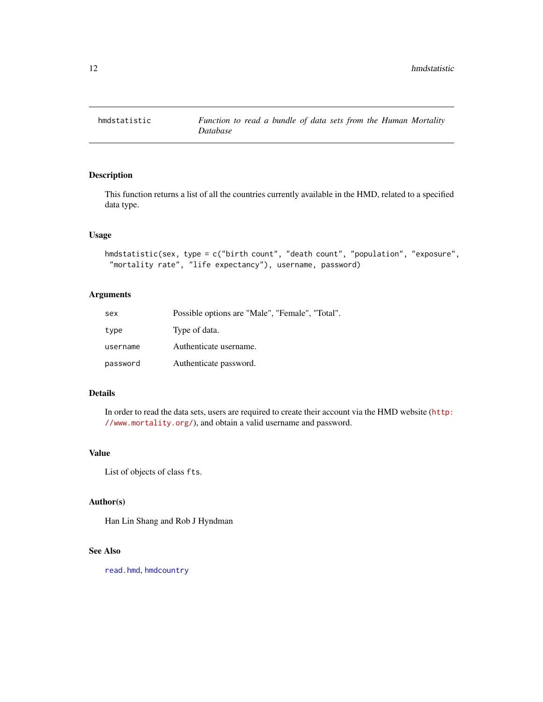<span id="page-11-1"></span><span id="page-11-0"></span>

This function returns a list of all the countries currently available in the HMD, related to a specified data type.

# Usage

```
hmdstatistic(sex, type = c("birth count", "death count", "population", "exposure",
 "mortality rate", "life expectancy"), username, password)
```
# Arguments

| sex      | Possible options are "Male", "Female", "Total". |
|----------|-------------------------------------------------|
| type     | Type of data.                                   |
| username | Authenticate username.                          |
| password | Authenticate password.                          |

#### Details

In order to read the data sets, users are required to create their account via the HMD website ([http:](http://www.mortality.org/) [//www.mortality.org/](http://www.mortality.org/)), and obtain a valid username and password.

# Value

List of objects of class fts.

# Author(s)

Han Lin Shang and Rob J Hyndman

# See Also

[read.hmd](#page-16-1), [hmdcountry](#page-10-1)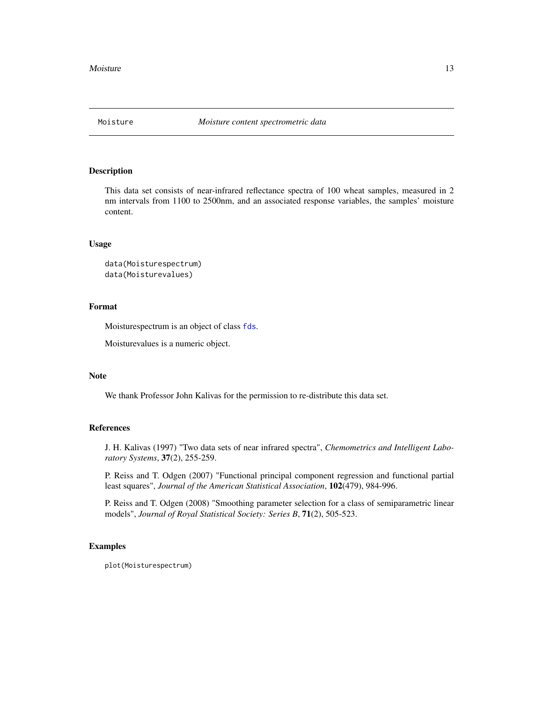<span id="page-12-0"></span>

This data set consists of near-infrared reflectance spectra of 100 wheat samples, measured in 2 nm intervals from 1100 to 2500nm, and an associated response variables, the samples' moisture content.

# Usage

```
data(Moisturespectrum)
data(Moisturevalues)
```
# Format

Moisturespectrum is an object of class [fds](#page-0-0).

Moisturevalues is a numeric object.

#### Note

We thank Professor John Kalivas for the permission to re-distribute this data set.

#### References

J. H. Kalivas (1997) "Two data sets of near infrared spectra", *Chemometrics and Intelligent Laboratory Systems*, 37(2), 255-259.

P. Reiss and T. Odgen (2007) "Functional principal component regression and functional partial least squares", *Journal of the American Statistical Association*, 102(479), 984-996.

P. Reiss and T. Odgen (2008) "Smoothing parameter selection for a class of semiparametric linear models", *Journal of Royal Statistical Society: Series B*, 71(2), 505-523.

# Examples

plot(Moisturespectrum)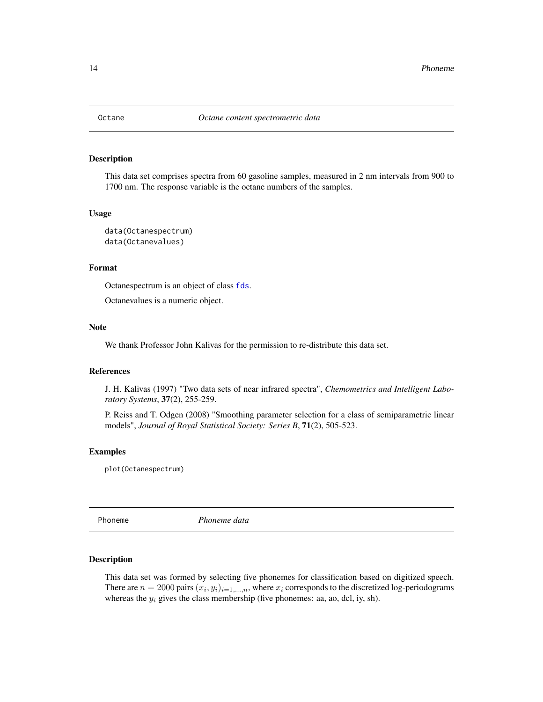<span id="page-13-0"></span>

This data set comprises spectra from 60 gasoline samples, measured in 2 nm intervals from 900 to 1700 nm. The response variable is the octane numbers of the samples.

#### Usage

data(Octanespectrum) data(Octanevalues)

# Format

Octanespectrum is an object of class [fds](#page-0-0).

Octanevalues is a numeric object.

### Note

We thank Professor John Kalivas for the permission to re-distribute this data set.

### References

J. H. Kalivas (1997) "Two data sets of near infrared spectra", *Chemometrics and Intelligent Laboratory Systems*, 37(2), 255-259.

P. Reiss and T. Odgen (2008) "Smoothing parameter selection for a class of semiparametric linear models", *Journal of Royal Statistical Society: Series B*, 71(2), 505-523.

# Examples

plot(Octanespectrum)

Phoneme *Phoneme data*

#### Description

This data set was formed by selecting five phonemes for classification based on digitized speech. There are  $n = 2000$  pairs  $(x_i, y_i)_{i=1,\dots,n}$ , where  $x_i$  corresponds to the discretized log-periodograms whereas the  $y_i$  gives the class membership (five phonemes: aa, ao, dcl, iy, sh).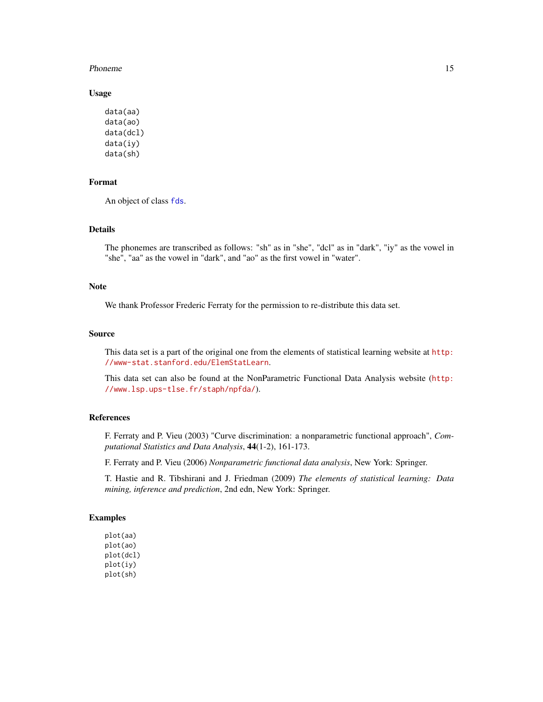#### Phoneme 15

#### Usage

data(aa) data(ao) data(dcl) data(iy) data(sh)

### Format

An object of class [fds](#page-0-0).

# Details

The phonemes are transcribed as follows: "sh" as in "she", "dcl" as in "dark", "iy" as the vowel in "she", "aa" as the vowel in "dark", and "ao" as the first vowel in "water".

# Note

We thank Professor Frederic Ferraty for the permission to re-distribute this data set.

#### Source

This data set is a part of the original one from the elements of statistical learning website at [http:](http://www-stat.stanford.edu/ElemStatLearn) [//www-stat.stanford.edu/ElemStatLearn](http://www-stat.stanford.edu/ElemStatLearn).

This data set can also be found at the NonParametric Functional Data Analysis website ([http:](http://www.lsp.ups-tlse.fr/staph/npfda/) [//www.lsp.ups-tlse.fr/staph/npfda/](http://www.lsp.ups-tlse.fr/staph/npfda/)).

#### References

F. Ferraty and P. Vieu (2003) "Curve discrimination: a nonparametric functional approach", *Computational Statistics and Data Analysis*, 44(1-2), 161-173.

F. Ferraty and P. Vieu (2006) *Nonparametric functional data analysis*, New York: Springer.

T. Hastie and R. Tibshirani and J. Friedman (2009) *The elements of statistical learning: Data mining, inference and prediction*, 2nd edn, New York: Springer.

# Examples

plot(aa) plot(ao) plot(dcl) plot(iy) plot(sh)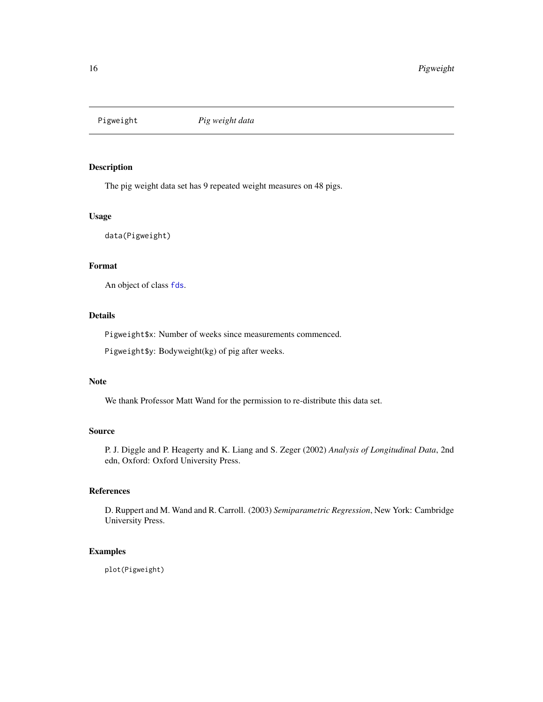<span id="page-15-0"></span>

The pig weight data set has 9 repeated weight measures on 48 pigs.

#### Usage

data(Pigweight)

# Format

An object of class [fds](#page-0-0).

# Details

Pigweight\$x: Number of weeks since measurements commenced.

Pigweight\$y: Bodyweight(kg) of pig after weeks.

### Note

We thank Professor Matt Wand for the permission to re-distribute this data set.

# Source

P. J. Diggle and P. Heagerty and K. Liang and S. Zeger (2002) *Analysis of Longitudinal Data*, 2nd edn, Oxford: Oxford University Press.

### References

D. Ruppert and M. Wand and R. Carroll. (2003) *Semiparametric Regression*, New York: Cambridge University Press.

# Examples

plot(Pigweight)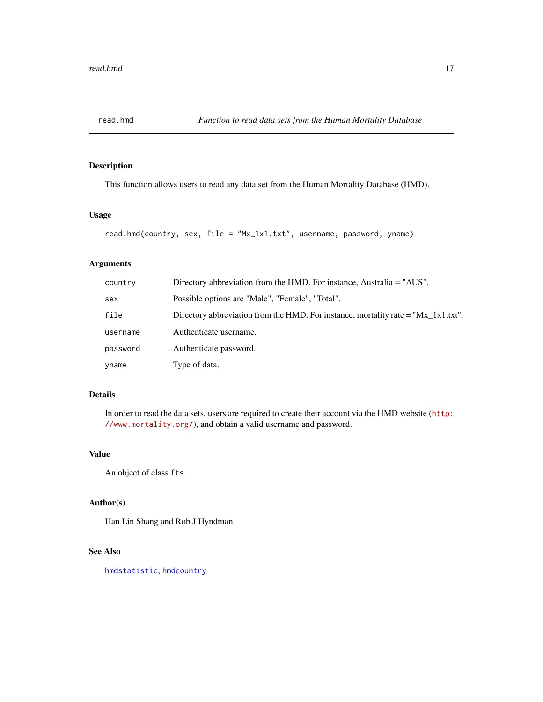<span id="page-16-1"></span><span id="page-16-0"></span>

This function allows users to read any data set from the Human Mortality Database (HMD).

# Usage

```
read.hmd(country, sex, file = "Mx_1x1.txt", username, password, yname)
```
# Arguments

| country  | Directory abbreviation from the HMD. For instance, Australia = "AUS".               |
|----------|-------------------------------------------------------------------------------------|
| sex      | Possible options are "Male", "Female", "Total".                                     |
| file     | Directory abbreviation from the HMD. For instance, mortality rate $=$ "Mx 1x1.txt". |
| username | Authenticate username.                                                              |
| password | Authenticate password.                                                              |
| yname    | Type of data.                                                                       |

# Details

In order to read the data sets, users are required to create their account via the HMD website ([http:](http://www.mortality.org/) [//www.mortality.org/](http://www.mortality.org/)), and obtain a valid username and password.

# Value

An object of class fts.

# Author(s)

Han Lin Shang and Rob J Hyndman

# See Also

[hmdstatistic](#page-11-1), [hmdcountry](#page-10-1)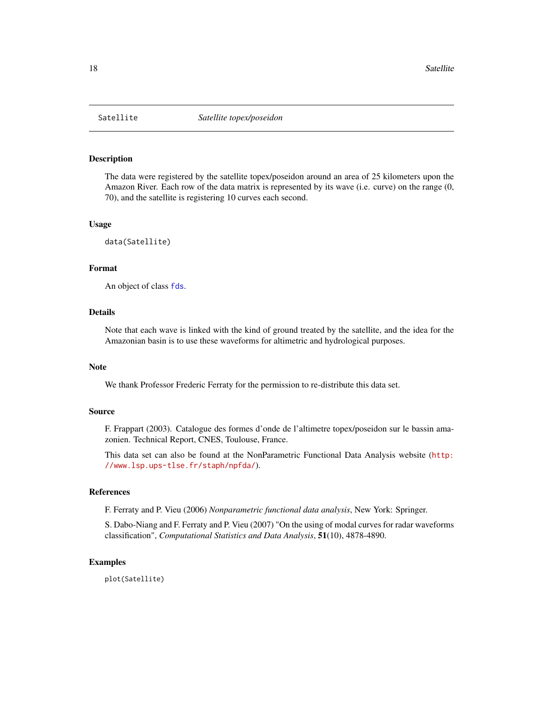<span id="page-17-0"></span>

The data were registered by the satellite topex/poseidon around an area of 25 kilometers upon the Amazon River. Each row of the data matrix is represented by its wave (i.e. curve) on the range (0, 70), and the satellite is registering 10 curves each second.

#### Usage

data(Satellite)

# Format

An object of class [fds](#page-0-0).

# Details

Note that each wave is linked with the kind of ground treated by the satellite, and the idea for the Amazonian basin is to use these waveforms for altimetric and hydrological purposes.

#### Note

We thank Professor Frederic Ferraty for the permission to re-distribute this data set.

#### Source

F. Frappart (2003). Catalogue des formes d'onde de l'altimetre topex/poseidon sur le bassin amazonien. Technical Report, CNES, Toulouse, France.

This data set can also be found at the NonParametric Functional Data Analysis website ([http:](http://www.lsp.ups-tlse.fr/staph/npfda/) [//www.lsp.ups-tlse.fr/staph/npfda/](http://www.lsp.ups-tlse.fr/staph/npfda/)).

# References

F. Ferraty and P. Vieu (2006) *Nonparametric functional data analysis*, New York: Springer.

S. Dabo-Niang and F. Ferraty and P. Vieu (2007) "On the using of modal curves for radar waveforms classification", *Computational Statistics and Data Analysis*, 51(10), 4878-4890.

#### Examples

plot(Satellite)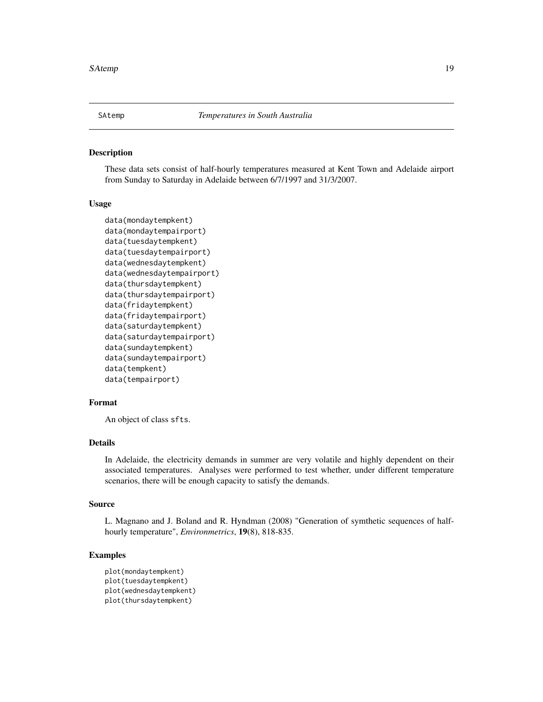<span id="page-18-0"></span>

These data sets consist of half-hourly temperatures measured at Kent Town and Adelaide airport from Sunday to Saturday in Adelaide between 6/7/1997 and 31/3/2007.

#### Usage

```
data(mondaytempkent)
data(mondaytempairport)
data(tuesdaytempkent)
data(tuesdaytempairport)
data(wednesdaytempkent)
data(wednesdaytempairport)
data(thursdaytempkent)
data(thursdaytempairport)
data(fridaytempkent)
data(fridaytempairport)
data(saturdaytempkent)
data(saturdaytempairport)
data(sundaytempkent)
data(sundaytempairport)
data(tempkent)
data(tempairport)
```
#### Format

An object of class sfts.

# Details

In Adelaide, the electricity demands in summer are very volatile and highly dependent on their associated temperatures. Analyses were performed to test whether, under different temperature scenarios, there will be enough capacity to satisfy the demands.

#### Source

L. Magnano and J. Boland and R. Hyndman (2008) "Generation of symthetic sequences of halfhourly temperature", *Environmetrics*, 19(8), 818-835.

# Examples

```
plot(mondaytempkent)
plot(tuesdaytempkent)
plot(wednesdaytempkent)
plot(thursdaytempkent)
```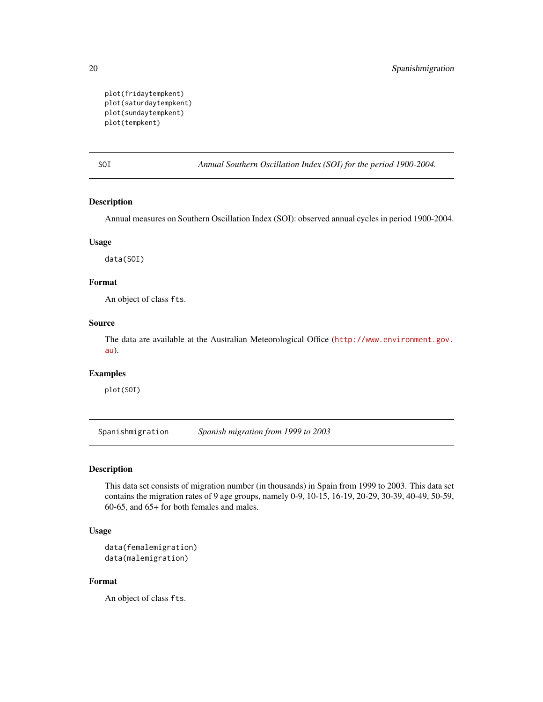<span id="page-19-0"></span>plot(fridaytempkent) plot(saturdaytempkent) plot(sundaytempkent) plot(tempkent)

SOI *Annual Southern Oscillation Index (SOI) for the period 1900-2004.*

# Description

Annual measures on Southern Oscillation Index (SOI): observed annual cycles in period 1900-2004.

#### Usage

data(SOI)

# Format

An object of class fts.

#### Source

The data are available at the Australian Meteorological Office ([http://www.environment.gov.](http://www.environment.gov.au) [au](http://www.environment.gov.au)).

#### Examples

plot(SOI)

Spanishmigration *Spanish migration from 1999 to 2003*

# Description

This data set consists of migration number (in thousands) in Spain from 1999 to 2003. This data set contains the migration rates of 9 age groups, namely 0-9, 10-15, 16-19, 20-29, 30-39, 40-49, 50-59, 60-65, and 65+ for both females and males.

# Usage

```
data(femalemigration)
data(malemigration)
```
# Format

An object of class fts.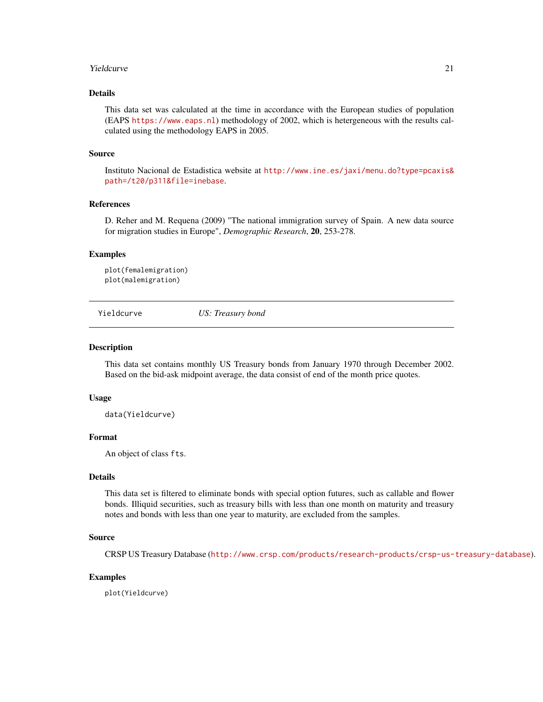#### <span id="page-20-0"></span>**The Vieldcurve** 21 **21**

# Details

This data set was calculated at the time in accordance with the European studies of population (EAPS <https://www.eaps.nl>) methodology of 2002, which is hetergeneous with the results calculated using the methodology EAPS in 2005.

#### Source

Instituto Nacional de Estadistica website at [http://www.ine.es/jaxi/menu.do?type=pcaxis&](http://www.ine.es/jaxi/menu.do?type=pcaxis&path=/t20/p311&file=inebase) [path=/t20/p311&file=inebase](http://www.ine.es/jaxi/menu.do?type=pcaxis&path=/t20/p311&file=inebase).

# References

D. Reher and M. Requena (2009) "The national immigration survey of Spain. A new data source for migration studies in Europe", *Demographic Research*, 20, 253-278.

### Examples

```
plot(femalemigration)
plot(malemigration)
```
Yieldcurve *US: Treasury bond*

### Description

This data set contains monthly US Treasury bonds from January 1970 through December 2002. Based on the bid-ask midpoint average, the data consist of end of the month price quotes.

#### Usage

data(Yieldcurve)

#### Format

An object of class fts.

#### Details

This data set is filtered to eliminate bonds with special option futures, such as callable and flower bonds. Illiquid securities, such as treasury bills with less than one month on maturity and treasury notes and bonds with less than one year to maturity, are excluded from the samples.

#### Source

CRSP US Treasury Database (<http://www.crsp.com/products/research-products/crsp-us-treasury-database>).

#### Examples

plot(Yieldcurve)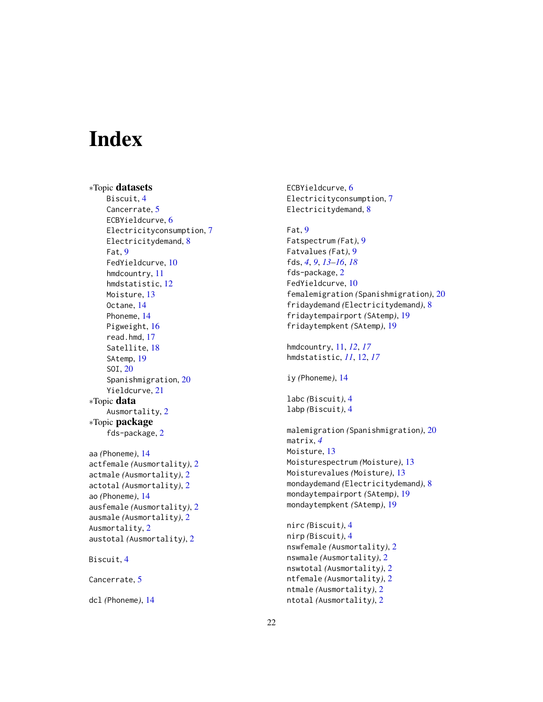# <span id="page-21-0"></span>**Index**

∗Topic datasets Biscuit, [4](#page-3-0) Cancerrate, [5](#page-4-0) ECBYieldcurve, [6](#page-5-0) Electricityconsumption, [7](#page-6-0) Electricitydemand, [8](#page-7-0) Fat, [9](#page-8-0) FedYieldcurve, [10](#page-9-0) hmdcountry, [11](#page-10-0) hmdstatistic, [12](#page-11-0) Moisture, [13](#page-12-0) Octane, [14](#page-13-0) Phoneme, [14](#page-13-0) Pigweight, [16](#page-15-0) read.hmd, [17](#page-16-0) Satellite, [18](#page-17-0) SAtemp, [19](#page-18-0) SOI, [20](#page-19-0) Spanishmigration, [20](#page-19-0) Yieldcurve, [21](#page-20-0) ∗Topic data Ausmortality, [2](#page-1-0) ∗Topic package fds-package, [2](#page-1-0) aa *(*Phoneme*)*, [14](#page-13-0) actfemale *(*Ausmortality*)*, [2](#page-1-0) actmale *(*Ausmortality*)*, [2](#page-1-0) actotal *(*Ausmortality*)*, [2](#page-1-0) ao *(*Phoneme*)*, [14](#page-13-0) ausfemale *(*Ausmortality*)*, [2](#page-1-0) ausmale *(*Ausmortality*)*, [2](#page-1-0) Ausmortality, [2](#page-1-0) austotal *(*Ausmortality*)*, [2](#page-1-0) Biscuit, [4](#page-3-0) Cancerrate, [5](#page-4-0) dcl *(*Phoneme*)*, [14](#page-13-0)

ECBYieldcurve, [6](#page-5-0) Electricityconsumption, [7](#page-6-0) Electricitydemand, [8](#page-7-0) Fat, [9](#page-8-0) Fatspectrum *(*Fat*)*, [9](#page-8-0) Fatvalues *(*Fat*)*, [9](#page-8-0) fds, *[4](#page-3-0)*, *[9](#page-8-0)*, *[13](#page-12-0)[–16](#page-15-0)*, *[18](#page-17-0)* fds-package, [2](#page-1-0) FedYieldcurve, [10](#page-9-0) femalemigration *(*Spanishmigration*)*, [20](#page-19-0) fridaydemand *(*Electricitydemand*)*, [8](#page-7-0) fridaytempairport *(*SAtemp*)*, [19](#page-18-0) fridaytempkent *(*SAtemp*)*, [19](#page-18-0) hmdcountry, [11,](#page-10-0) *[12](#page-11-0)*, *[17](#page-16-0)* hmdstatistic, *[11](#page-10-0)*, [12,](#page-11-0) *[17](#page-16-0)* iy *(*Phoneme*)*, [14](#page-13-0) labc *(*Biscuit*)*, [4](#page-3-0) labp *(*Biscuit*)*, [4](#page-3-0) malemigration *(*Spanishmigration*)*, [20](#page-19-0) matrix, *[4](#page-3-0)* Moisture, [13](#page-12-0) Moisturespectrum *(*Moisture*)*, [13](#page-12-0) Moisturevalues *(*Moisture*)*, [13](#page-12-0) mondaydemand *(*Electricitydemand*)*, [8](#page-7-0) mondaytempairport *(*SAtemp*)*, [19](#page-18-0) mondaytempkent *(*SAtemp*)*, [19](#page-18-0) nirc *(*Biscuit*)*, [4](#page-3-0) nirp *(*Biscuit*)*, [4](#page-3-0) nswfemale *(*Ausmortality*)*, [2](#page-1-0) nswmale *(*Ausmortality*)*, [2](#page-1-0) nswtotal *(*Ausmortality*)*, [2](#page-1-0) ntfemale *(*Ausmortality*)*, [2](#page-1-0) ntmale *(*Ausmortality*)*, [2](#page-1-0) ntotal *(*Ausmortality*)*, [2](#page-1-0)